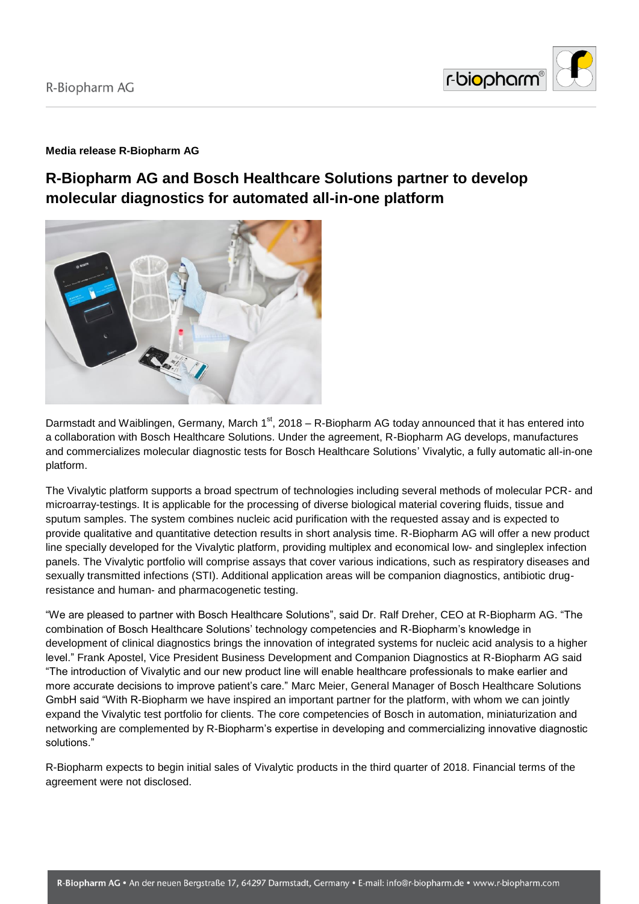

# **Media release R-Biopharm AG**

# **R-Biopharm AG and Bosch Healthcare Solutions partner to develop molecular diagnostics for automated all-in-one platform**



Darmstadt and Waiblingen, Germany, March 1<sup>st</sup>, 2018 – R-Biopharm AG today announced that it has entered into a collaboration with Bosch Healthcare Solutions. Under the agreement, R-Biopharm AG develops, manufactures and commercializes molecular diagnostic tests for Bosch Healthcare Solutions' Vivalytic, a fully automatic all-in-one platform.

The Vivalytic platform supports a broad spectrum of technologies including several methods of molecular PCR- and microarray-testings. It is applicable for the processing of diverse biological material covering fluids, tissue and sputum samples. The system combines nucleic acid purification with the requested assay and is expected to provide qualitative and quantitative detection results in short analysis time. R-Biopharm AG will offer a new product line specially developed for the Vivalytic platform, providing multiplex and economical low- and singleplex infection panels. The Vivalytic portfolio will comprise assays that cover various indications, such as respiratory diseases and sexually transmitted infections (STI). Additional application areas will be companion diagnostics, antibiotic drugresistance and human- and pharmacogenetic testing.

"We are pleased to partner with Bosch Healthcare Solutions", said Dr. Ralf Dreher, CEO at R-Biopharm AG. "The combination of Bosch Healthcare Solutions' technology competencies and R-Biopharm's knowledge in development of clinical diagnostics brings the innovation of integrated systems for nucleic acid analysis to a higher level." Frank Apostel, Vice President Business Development and Companion Diagnostics at R-Biopharm AG said "The introduction of Vivalytic and our new product line will enable healthcare professionals to make earlier and more accurate decisions to improve patient's care." Marc Meier, General Manager of Bosch Healthcare Solutions GmbH said "With R-Biopharm we have inspired an important partner for the platform, with whom we can jointly expand the Vivalytic test portfolio for clients. The core competencies of Bosch in automation, miniaturization and networking are complemented by R-Biopharm's expertise in developing and commercializing innovative diagnostic solutions."

R-Biopharm expects to begin initial sales of Vivalytic products in the third quarter of 2018. Financial terms of the agreement were not disclosed.